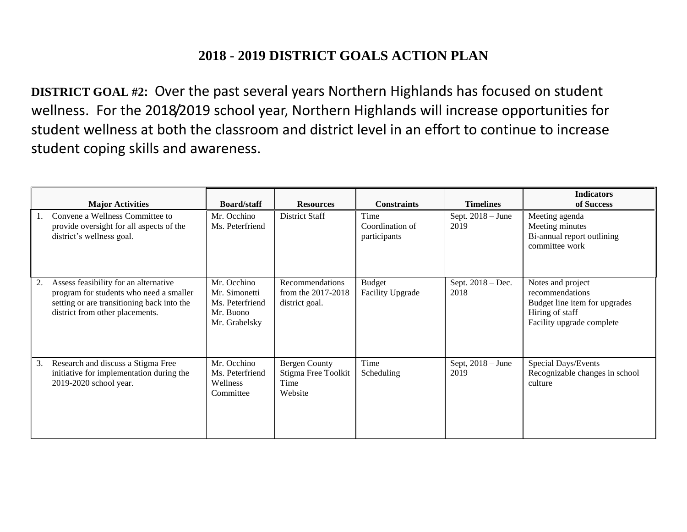## **2018 - 2019 DISTRICT GOALS ACTION PLAN**

**DISTRICT GOAL #2:** Over the past several years Northern Highlands has focused on student wellness. For the 2018/2019 school year, Northern Highlands will increase opportunities for student wellness at both the classroom and district level in an effort to continue to increase student coping skills and awareness.

|    | <b>Major Activities</b>                                                                                                                                           | <b>Board/staff</b>                                                            | <b>Resources</b>                                               | <b>Constraints</b>                       | <b>Timelines</b>            | <b>Indicators</b><br>of Success                                                                                       |
|----|-------------------------------------------------------------------------------------------------------------------------------------------------------------------|-------------------------------------------------------------------------------|----------------------------------------------------------------|------------------------------------------|-----------------------------|-----------------------------------------------------------------------------------------------------------------------|
|    | Convene a Wellness Committee to<br>provide oversight for all aspects of the<br>district's wellness goal.                                                          | Mr. Occhino<br>Ms. Peterfriend                                                | District Staff                                                 | Time<br>Coordination of<br>participants  | Sept. $2018 - June$<br>2019 | Meeting agenda<br>Meeting minutes<br>Bi-annual report outlining<br>committee work                                     |
| 2. | Assess feasibility for an alternative<br>program for students who need a smaller<br>setting or are transitioning back into the<br>district from other placements. | Mr. Occhino<br>Mr. Simonetti<br>Ms. Peterfriend<br>Mr. Buono<br>Mr. Grabelsky | Recommendations<br>from the 2017-2018<br>district goal.        | <b>Budget</b><br><b>Facility Upgrade</b> | Sept. $2018 - Dec.$<br>2018 | Notes and project<br>recommendations<br>Budget line item for upgrades<br>Hiring of staff<br>Facility upgrade complete |
| 3. | Research and discuss a Stigma Free<br>initiative for implementation during the<br>2019-2020 school year.                                                          | Mr. Occhino<br>Ms. Peterfriend<br>Wellness<br>Committee                       | <b>Bergen County</b><br>Stigma Free Toolkit<br>Time<br>Website | Time<br>Scheduling                       | Sept, $2018 -$ June<br>2019 | Special Days/Events<br>Recognizable changes in school<br>culture                                                      |